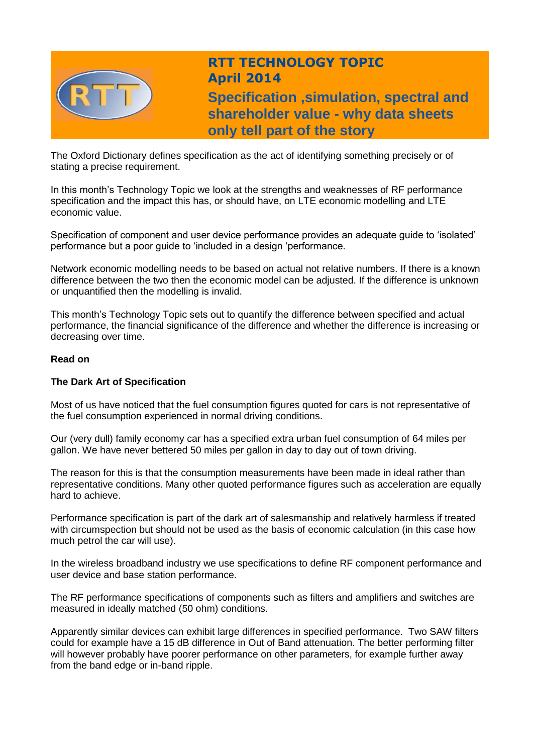

# **RTT TECHNOLOGY TOPIC April 2014**

**Specification ,simulation, spectral and shareholder value - why data sheets only tell part of the story**

The Oxford Dictionary defines specification as the act of identifying something precisely or of stating a precise requirement.

In this month's Technology Topic we look at the strengths and weaknesses of RF performance specification and the impact this has, or should have, on LTE economic modelling and LTE economic value.

Specification of component and user device performance provides an adequate guide to 'isolated' performance but a poor guide to 'included in a design 'performance.

Network economic modelling needs to be based on actual not relative numbers. If there is a known difference between the two then the economic model can be adjusted. If the difference is unknown or unquantified then the modelling is invalid.

This month's Technology Topic sets out to quantify the difference between specified and actual performance, the financial significance of the difference and whether the difference is increasing or decreasing over time.

# **Read on**

# **The Dark Art of Specification**

Most of us have noticed that the fuel consumption figures quoted for cars is not representative of the fuel consumption experienced in normal driving conditions.

Our (very dull) family economy car has a specified extra urban fuel consumption of 64 miles per gallon. We have never bettered 50 miles per gallon in day to day out of town driving.

The reason for this is that the consumption measurements have been made in ideal rather than representative conditions. Many other quoted performance figures such as acceleration are equally hard to achieve.

Performance specification is part of the dark art of salesmanship and relatively harmless if treated with circumspection but should not be used as the basis of economic calculation (in this case how much petrol the car will use).

In the wireless broadband industry we use specifications to define RF component performance and user device and base station performance.

The RF performance specifications of components such as filters and amplifiers and switches are measured in ideally matched (50 ohm) conditions.

Apparently similar devices can exhibit large differences in specified performance. Two SAW filters could for example have a 15 dB difference in Out of Band attenuation. The better performing filter will however probably have poorer performance on other parameters, for example further away from the band edge or in-band ripple.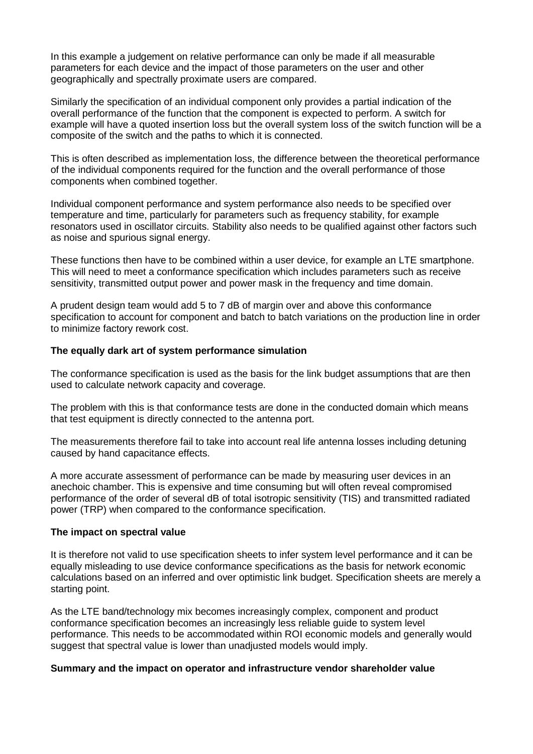In this example a judgement on relative performance can only be made if all measurable parameters for each device and the impact of those parameters on the user and other geographically and spectrally proximate users are compared.

Similarly the specification of an individual component only provides a partial indication of the overall performance of the function that the component is expected to perform. A switch for example will have a quoted insertion loss but the overall system loss of the switch function will be a composite of the switch and the paths to which it is connected.

This is often described as implementation loss, the difference between the theoretical performance of the individual components required for the function and the overall performance of those components when combined together.

Individual component performance and system performance also needs to be specified over temperature and time, particularly for parameters such as frequency stability, for example resonators used in oscillator circuits. Stability also needs to be qualified against other factors such as noise and spurious signal energy.

These functions then have to be combined within a user device, for example an LTE smartphone. This will need to meet a conformance specification which includes parameters such as receive sensitivity, transmitted output power and power mask in the frequency and time domain.

A prudent design team would add 5 to 7 dB of margin over and above this conformance specification to account for component and batch to batch variations on the production line in order to minimize factory rework cost.

### **The equally dark art of system performance simulation**

The conformance specification is used as the basis for the link budget assumptions that are then used to calculate network capacity and coverage.

The problem with this is that conformance tests are done in the conducted domain which means that test equipment is directly connected to the antenna port.

The measurements therefore fail to take into account real life antenna losses including detuning caused by hand capacitance effects.

A more accurate assessment of performance can be made by measuring user devices in an anechoic chamber. This is expensive and time consuming but will often reveal compromised performance of the order of several dB of total isotropic sensitivity (TIS) and transmitted radiated power (TRP) when compared to the conformance specification.

#### **The impact on spectral value**

It is therefore not valid to use specification sheets to infer system level performance and it can be equally misleading to use device conformance specifications as the basis for network economic calculations based on an inferred and over optimistic link budget. Specification sheets are merely a starting point.

As the LTE band/technology mix becomes increasingly complex, component and product conformance specification becomes an increasingly less reliable guide to system level performance. This needs to be accommodated within ROI economic models and generally would suggest that spectral value is lower than unadjusted models would imply.

#### **Summary and the impact on operator and infrastructure vendor shareholder value**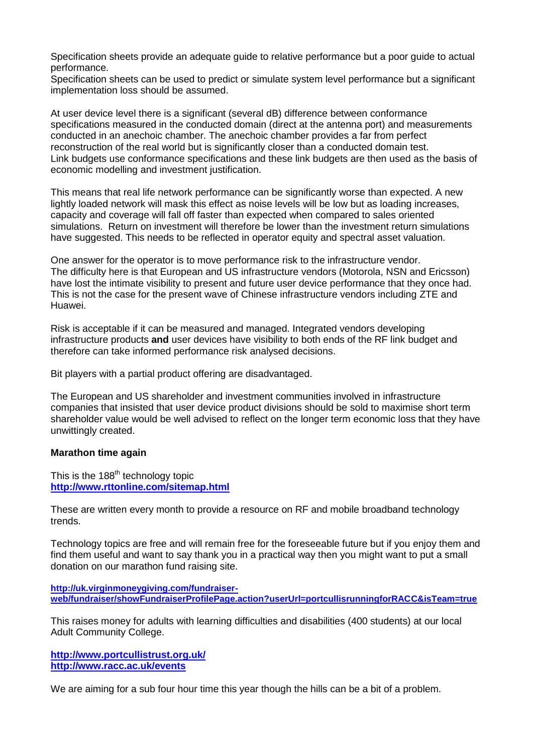Specification sheets provide an adequate guide to relative performance but a poor guide to actual performance.

Specification sheets can be used to predict or simulate system level performance but a significant implementation loss should be assumed.

At user device level there is a significant (several dB) difference between conformance specifications measured in the conducted domain (direct at the antenna port) and measurements conducted in an anechoic chamber. The anechoic chamber provides a far from perfect reconstruction of the real world but is significantly closer than a conducted domain test. Link budgets use conformance specifications and these link budgets are then used as the basis of economic modelling and investment justification.

This means that real life network performance can be significantly worse than expected. A new lightly loaded network will mask this effect as noise levels will be low but as loading increases, capacity and coverage will fall off faster than expected when compared to sales oriented simulations. Return on investment will therefore be lower than the investment return simulations have suggested. This needs to be reflected in operator equity and spectral asset valuation.

One answer for the operator is to move performance risk to the infrastructure vendor. The difficulty here is that European and US infrastructure vendors (Motorola, NSN and Ericsson) have lost the intimate visibility to present and future user device performance that they once had. This is not the case for the present wave of Chinese infrastructure vendors including ZTE and Huawei.

Risk is acceptable if it can be measured and managed. Integrated vendors developing infrastructure products **and** user devices have visibility to both ends of the RF link budget and therefore can take informed performance risk analysed decisions.

Bit players with a partial product offering are disadvantaged.

The European and US shareholder and investment communities involved in infrastructure companies that insisted that user device product divisions should be sold to maximise short term shareholder value would be well advised to reflect on the longer term economic loss that they have unwittingly created.

# **Marathon time again**

This is the 188<sup>th</sup> technology topic **<http://www.rttonline.com/sitemap.html>**

These are written every month to provide a resource on RF and mobile broadband technology trends.

Technology topics are free and will remain free for the foreseeable future but if you enjoy them and find them useful and want to say thank you in a practical way then you might want to put a small donation on our marathon fund raising site.

**[http://uk.virginmoneygiving.com/fundraiser](http://uk.virginmoneygiving.com/fundraiser-web/fundraiser/showFundraiserProfilePage.action?userUrl=portcullisrunningforRACC&isTeam=true)[web/fundraiser/showFundraiserProfilePage.action?userUrl=portcullisrunningforRACC&isTeam=true](http://uk.virginmoneygiving.com/fundraiser-web/fundraiser/showFundraiserProfilePage.action?userUrl=portcullisrunningforRACC&isTeam=true)**

This raises money for adults with learning difficulties and disabilities (400 students) at our local Adult Community College.

**<http://www.portcullistrust.org.uk/> <http://www.racc.ac.uk/events>**

We are aiming for a sub four hour time this year though the hills can be a bit of a problem.